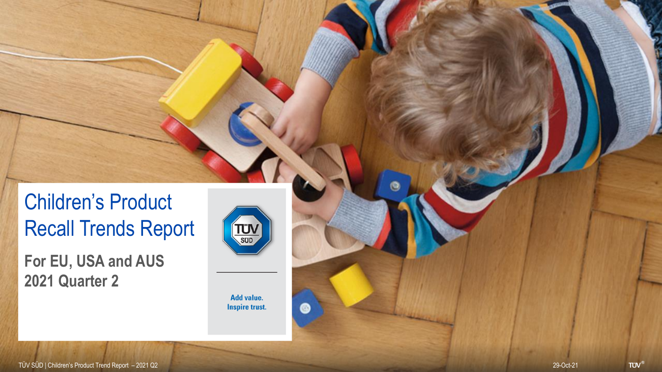### Children's Product Recall Trends Report

**For EU, USA and AUS 2021 Quarter 2**



Θ

Add value. **Inspire trust.** 

 $\bullet$ 

**TÜV<sup>®</sup>**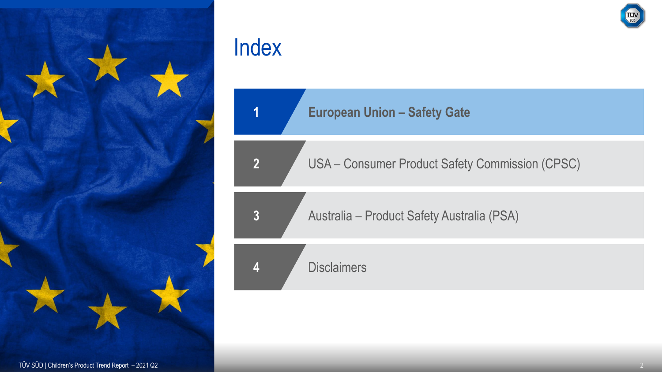

**European Union – Safety Gate**

USA – Consumer Product Safety Commission (CPSC)

Australia – Product Safety Australia (PSA)

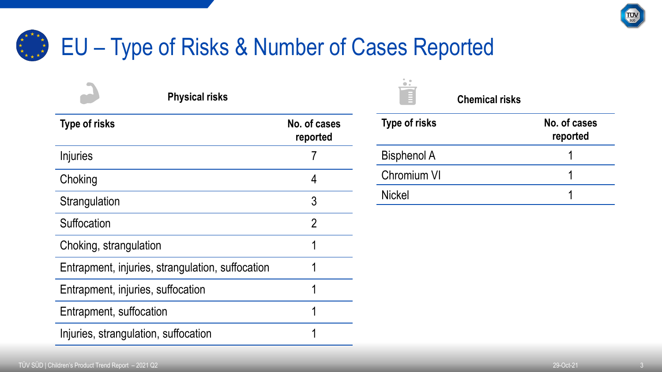

#### EU – Type of Risks & Number of Cases Reported \* \* \*

| <b>Physical risks</b>                            |                          |
|--------------------------------------------------|--------------------------|
| <b>Type of risks</b>                             | No. of cases<br>reported |
| Injuries                                         |                          |
| Choking                                          | 4                        |
| Strangulation                                    | 3                        |
| Suffocation                                      | $\overline{2}$           |
| Choking, strangulation                           | 1                        |
| Entrapment, injuries, strangulation, suffocation | 1                        |
| Entrapment, injuries, suffocation                | 1                        |
| Entrapment, suffocation                          | 1                        |
| Injuries, strangulation, suffocation             | 1                        |

| <b>Type of risks</b> | No. of cases<br>reported |  |
|----------------------|--------------------------|--|
| <b>Bisphenol A</b>   |                          |  |
| <b>Chromium VI</b>   |                          |  |
| <b>Nickel</b>        |                          |  |

**Chemical risks**

i:<br>F

 $\ddot{\phantom{1}}$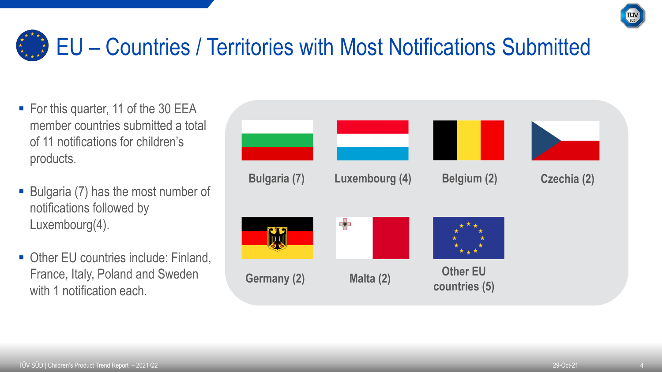

## **EU** – Countries / Territories with Most Notifications Submitted

- For this quarter, 11 of the 30 EEA member countries submitted a total of 11 notifications for children's products.
- Bulgaria (7) has the most number of notifications followed by Luxembourg(4).
- Other EU countries include: Finland, France, Italy, Poland and Sweden with 1 notification each.

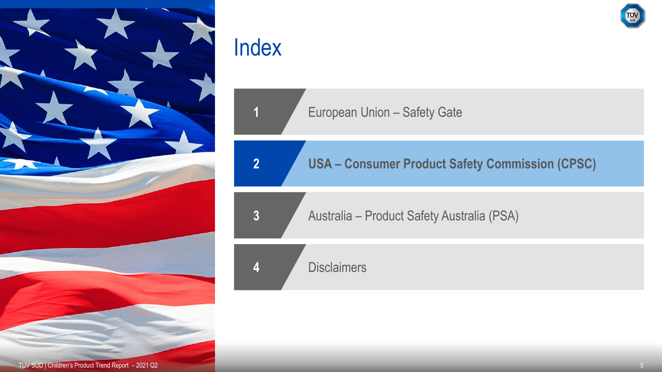

**European Union – Safety Gate** 

**2 USA – Consumer Product Safety Commission (CPSC)**

**3** Australia – Product Safety Australia (PSA)

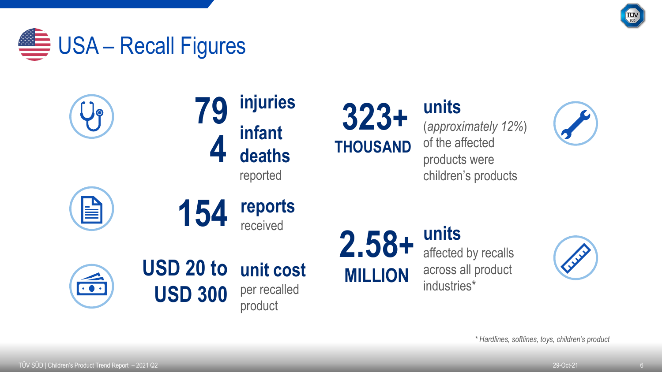





**units** (*approximately 12%*) of the affected products were children's products

**units** 

industries\*

affected by recalls

across all product





*\* Hardlines, softlines, toys, children's product*

È

 $\bullet$   $\bullet$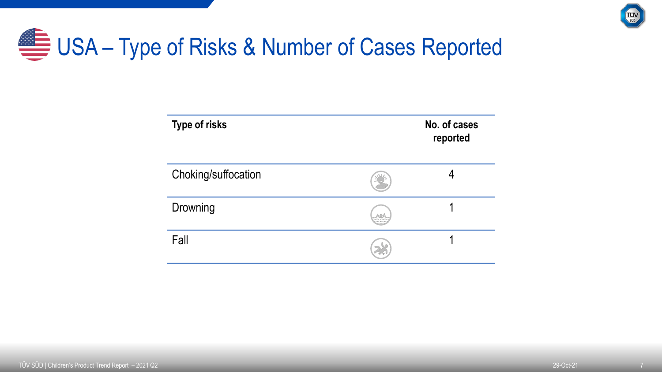

## USA – Type of Risks & Number of Cases Reported

| <b>Type of risks</b> |    | No. of cases<br>reported |
|----------------------|----|--------------------------|
| Choking/suffocation  |    |                          |
| Drowning             | ro |                          |
| Fall                 |    |                          |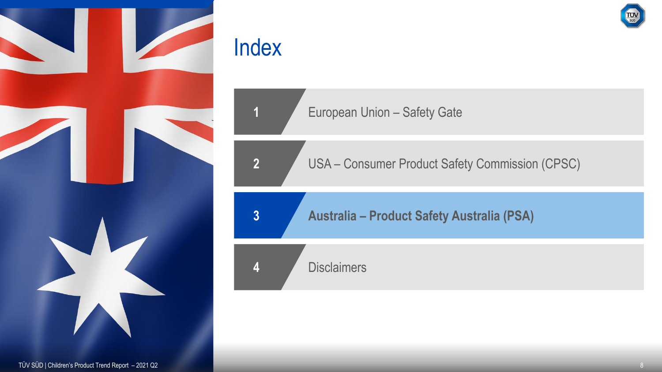



USA – Consumer Product Safety Commission (CPSC)

**Australia – Product Safety Australia (PSA)**

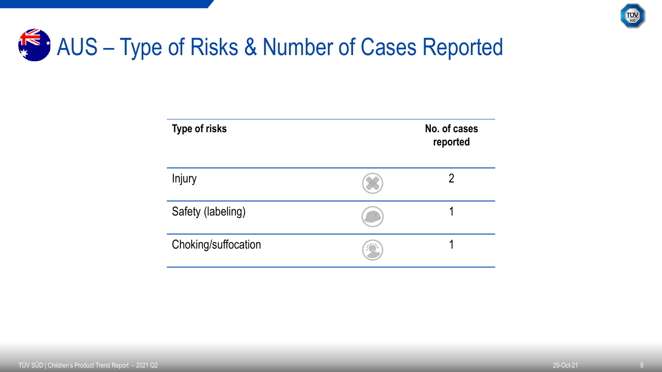

# AUS – Type of Risks & Number of Cases Reported

| <b>Type of risks</b> | No. of cases<br>reported |
|----------------------|--------------------------|
| Injury               |                          |
| Safety (labeling)    |                          |
| Choking/suffocation  |                          |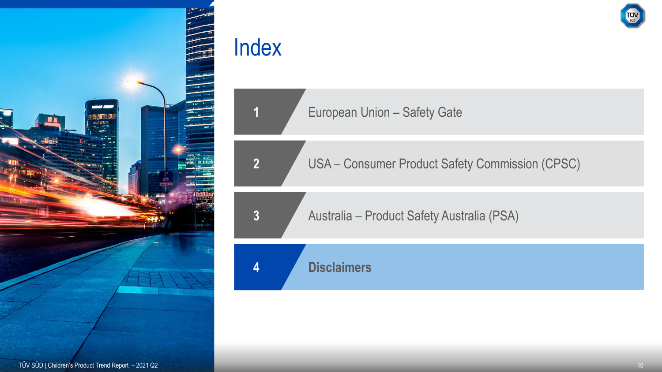

European Union – Safety Gate

USA – Consumer Product Safety Commission (CPSC)

Australia – Product Safety Australia (PSA)

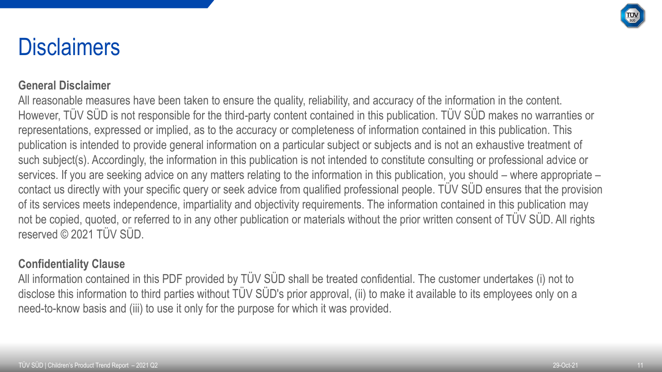

### **Disclaimers**

#### **General Disclaimer**

All reasonable measures have been taken to ensure the quality, reliability, and accuracy of the information in the content. However, TÜV SÜD is not responsible for the third-party content contained in this publication. TÜV SÜD makes no warranties or representations, expressed or implied, as to the accuracy or completeness of information contained in this publication. This publication is intended to provide general information on a particular subject or subjects and is not an exhaustive treatment of such subject(s). Accordingly, the information in this publication is not intended to constitute consulting or professional advice or services. If you are seeking advice on any matters relating to the information in this publication, you should – where appropriate – contact us directly with your specific query or seek advice from qualified professional people. TÜV SÜD ensures that the provision of its services meets independence, impartiality and objectivity requirements. The information contained in this publication may not be copied, quoted, or referred to in any other publication or materials without the prior written consent of TÜV SÜD. All rights reserved © 2021 TÜV SÜD.

#### **Confidentiality Clause**

All information contained in this PDF provided by TÜV SÜD shall be treated confidential. The customer undertakes (i) not to disclose this information to third parties without TÜV SÜD's prior approval, (ii) to make it available to its employees only on a need-to-know basis and (iii) to use it only for the purpose for which it was provided.

11